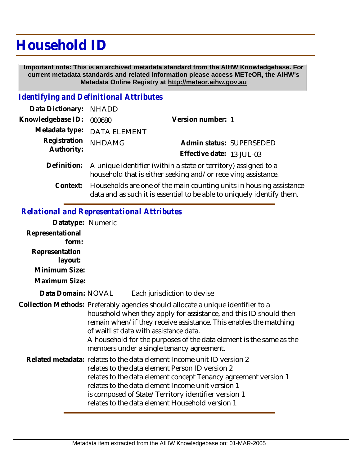## **Household ID**

 **Important note: This is an archived metadata standard from the AIHW Knowledgebase. For current metadata standards and related information please access METeOR, the AIHW's Metadata Online Registry at http://meteor.aihw.gov.au**

## *Identifying and Definitional Attributes*

| Data Dictionary: NHADD     |                                                                                                                                              |                           |                          |
|----------------------------|----------------------------------------------------------------------------------------------------------------------------------------------|---------------------------|--------------------------|
| Knowledgebase ID:          | 000680                                                                                                                                       | Version number: 1         |                          |
|                            | Metadata type: DATA ELEMENT                                                                                                                  |                           |                          |
| Registration<br>Authority: | <b>NHDAMG</b>                                                                                                                                | Effective date: 13-JUL-03 | Admin status: SUPERSEDED |
|                            | Definition: A unique identifier (within a state or territory) assigned to a<br>household that is either seeking and/or receiving assistance. |                           |                          |
|                            | Contaxt: $\Box$ Households are one of the main counting units in housing ass                                                                 |                           |                          |

Households are one of the main counting units in housing assistance data and as such it is essential to be able to uniquely identify them. **Context:**

## *Relational and Representational Attributes*

| Datatype: Numeric  |                                                                                                                                                                                                                                                                                                                                                                                          |  |  |
|--------------------|------------------------------------------------------------------------------------------------------------------------------------------------------------------------------------------------------------------------------------------------------------------------------------------------------------------------------------------------------------------------------------------|--|--|
| Representational   |                                                                                                                                                                                                                                                                                                                                                                                          |  |  |
| form:              |                                                                                                                                                                                                                                                                                                                                                                                          |  |  |
| Representation     |                                                                                                                                                                                                                                                                                                                                                                                          |  |  |
| layout:            |                                                                                                                                                                                                                                                                                                                                                                                          |  |  |
| Minimum Size:      |                                                                                                                                                                                                                                                                                                                                                                                          |  |  |
| Maximum Size:      |                                                                                                                                                                                                                                                                                                                                                                                          |  |  |
| Data Domain: NOVAL | Each jurisdiction to devise                                                                                                                                                                                                                                                                                                                                                              |  |  |
|                    | Collection Methods: Preferably agencies should allocate a unique identifier to a<br>household when they apply for assistance, and this ID should then<br>remain when/if they receive assistance. This enables the matching<br>of waitlist data with assistance data.<br>A household for the purposes of the data element is the same as the<br>members under a single tenancy agreement. |  |  |
|                    | Related metadata: relates to the data element Income unit ID version 2<br>relates to the data element Person ID version 2<br>relates to the data element concept Tenancy agreement version 1<br>relates to the data element Income unit version 1<br>is composed of State/Territory identifier version 1<br>relates to the data element Household version 1                              |  |  |